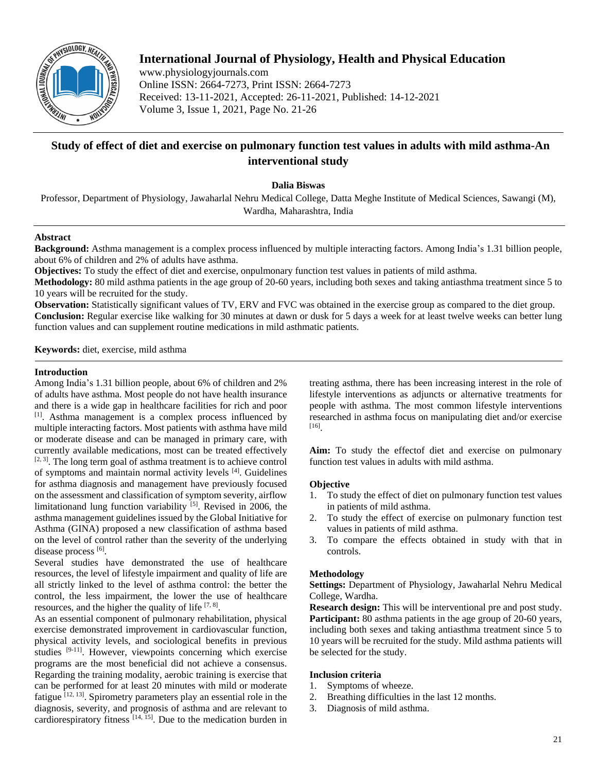

# **International Journal of Physiology, Health and Physical Education**

www.physiologyjournals.com Online ISSN: 2664-7273, Print ISSN: 2664-7273 Received: 13-11-2021, Accepted: 26-11-2021, Published: 14-12-2021 Volume 3, Issue 1, 2021, Page No. 21-26

# **Study of effect of diet and exercise on pulmonary function test values in adults with mild asthma-An interventional study**

**Dalia Biswas**

Professor, Department of Physiology, Jawaharlal Nehru Medical College, Datta Meghe Institute of Medical Sciences, Sawangi (M), Wardha, Maharashtra, India

## **Abstract**

**Background:** Asthma management is a complex process influenced by multiple interacting factors. Among India's 1.31 billion people, about 6% of children and 2% of adults have asthma.

**Objectives:** To study the effect of diet and exercise, onpulmonary function test values in patients of mild asthma.

**Methodology:** 80 mild asthma patients in the age group of 20-60 years, including both sexes and taking antiasthma treatment since 5 to 10 years will be recruited for the study.

**Observation:** Statistically significant values of TV, ERV and FVC was obtained in the exercise group as compared to the diet group. **Conclusion:** Regular exercise like walking for 30 minutes at dawn or dusk for 5 days a week for at least twelve weeks can better lung function values and can supplement routine medications in mild asthmatic patients.

**Keywords:** diet, exercise, mild asthma

## **Introduction**

Among India's 1.31 billion people, about 6% of children and 2% of adults have asthma. Most people do not have health insurance and there is a wide gap in healthcare facilities for rich and poor [1]. Asthma management is a complex process influenced by multiple interacting factors. Most patients with asthma have mild or moderate disease and can be managed in primary care, with currently available medications, most can be treated effectively  $[2, 3]$ . The long term goal of asthma treatment is to achieve control of symptoms and maintain normal activity levels [4]. Guidelines for asthma diagnosis and management have previously focused on the assessment and classification of symptom severity, airflow limitationand lung function variability [5]. Revised in 2006, the asthma management guidelines issued by the Global Initiative for Asthma (GINA) proposed a new classification of asthma based on the level of control rather than the severity of the underlying disease process [6].

Several studies have demonstrated the use of healthcare resources, the level of lifestyle impairment and quality of life are all strictly linked to the level of asthma control: the better the control, the less impairment, the lower the use of healthcare resources, and the higher the quality of life  $[7, 8]$ .

As an essential component of pulmonary rehabilitation, physical exercise demonstrated improvement in cardiovascular function, physical activity levels, and sociological benefits in previous studies <sup>[9-11]</sup>. However, viewpoints concerning which exercise programs are the most beneficial did not achieve a consensus. Regarding the training modality, aerobic training is exercise that can be performed for at least 20 minutes with mild or moderate fatigue  $[12, 13]$ . Spirometry parameters play an essential role in the diagnosis, severity, and prognosis of asthma and are relevant to cardiorespiratory fitness  $[14, 15]$ . Due to the medication burden in

treating asthma, there has been increasing interest in the role of lifestyle interventions as adjuncts or alternative treatments for people with asthma. The most common lifestyle interventions researched in asthma focus on manipulating diet and/or exercise [16] .

**Aim:** To study the effectof diet and exercise on pulmonary function test values in adults with mild asthma.

## **Objective**

- 1. To study the effect of diet on pulmonary function test values in patients of mild asthma.
- 2. To study the effect of exercise on pulmonary function test values in patients of mild asthma.
- 3. To compare the effects obtained in study with that in controls.

## **Methodology**

**Settings:** Department of Physiology, Jawaharlal Nehru Medical College, Wardha.

**Research design:** This will be interventional pre and post study. **Participant:** 80 asthma patients in the age group of 20-60 years, including both sexes and taking antiasthma treatment since 5 to 10 years will be recruited for the study. Mild asthma patients will be selected for the study.

# **Inclusion criteria**

- 1. Symptoms of wheeze.
- 2. Breathing difficulties in the last 12 months.
- 3. Diagnosis of mild asthma.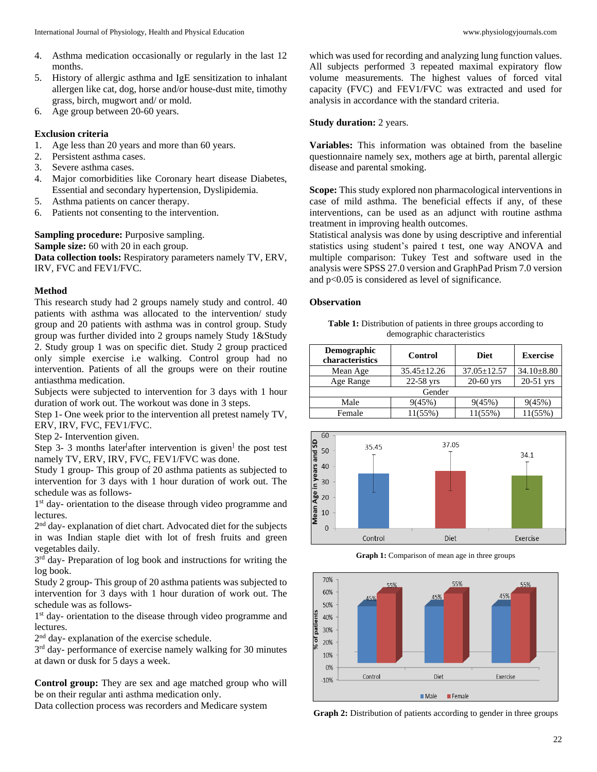- 4. Asthma medication occasionally or regularly in the last 12 months.
- 5. History of allergic asthma and IgE sensitization to inhalant allergen like cat, dog, horse and/or house-dust mite, timothy grass, birch, mugwort and/ or mold.
- 6. Age group between 20-60 years.

# **Exclusion criteria**

- 1. Age less than 20 years and more than 60 years.
- 2. Persistent asthma cases.
- 3. Severe asthma cases.
- 4. Major comorbidities like Coronary heart disease Diabetes, Essential and secondary hypertension, Dyslipidemia.
- 5. Asthma patients on cancer therapy.
- 6. Patients not consenting to the intervention.

**Sampling procedure:** Purposive sampling. **Sample size:** 60 with 20 in each group. **Data collection tools:** Respiratory parameters namely TV, ERV, IRV, FVC and FEV1/FVC.

#### **Method**

This research study had 2 groups namely study and control. 40 patients with asthma was allocated to the intervention/ study group and 20 patients with asthma was in control group. Study group was further divided into 2 groups namely Study 1&Study 2. Study group 1 was on specific diet. Study 2 group practiced only simple exercise i.e walking. Control group had no intervention. Patients of all the groups were on their routine antiasthma medication.

Subjects were subjected to intervention for 3 days with 1 hour duration of work out. The workout was done in 3 steps.

Step 1- One week prior to the intervention all pretest namely TV, ERV, IRV, FVC, FEV1/FVC.

Step 2- Intervention given.

Step 3- 3 months later<sup>[</sup>after intervention is given<sup>]</sup> the post test namely TV, ERV, IRV, FVC, FEV1/FVC was done.

Study 1 group- This group of 20 asthma patients as subjected to intervention for 3 days with 1 hour duration of work out. The schedule was as follows-

1<sup>st</sup> day- orientation to the disease through video programme and lectures.

2<sup>nd</sup> day- explanation of diet chart. Advocated diet for the subjects in was Indian staple diet with lot of fresh fruits and green vegetables daily.

3<sup>rd</sup> day- Preparation of log book and instructions for writing the log book.

Study 2 group- This group of 20 asthma patients was subjected to intervention for 3 days with 1 hour duration of work out. The schedule was as follows-

1<sup>st</sup> day- orientation to the disease through video programme and lectures.

2<sup>nd</sup> day- explanation of the exercise schedule.

3<sup>rd</sup> day- performance of exercise namely walking for 30 minutes at dawn or dusk for 5 days a week.

**Control group:** They are sex and age matched group who will be on their regular anti asthma medication only.

Data collection process was recorders and Medicare system

which was used for recording and analyzing lung function values. All subjects performed 3 repeated maximal expiratory flow volume measurements. The highest values of forced vital capacity (FVC) and FEV1/FVC was extracted and used for analysis in accordance with the standard criteria.

## **Study duration:** 2 years.

**Variables:** This information was obtained from the baseline questionnaire namely sex, mothers age at birth, parental allergic disease and parental smoking.

**Scope:** This study explored non pharmacological interventions in case of mild asthma. The beneficial effects if any, of these interventions, can be used as an adjunct with routine asthma treatment in improving health outcomes.

Statistical analysis was done by using descriptive and inferential statistics using student's paired t test, one way ANOVA and multiple comparison: Tukey Test and software used in the analysis were SPSS 27.0 version and GraphPad Prism 7.0 version and p<0.05 is considered as level of significance.

# **Observation**

**Table 1:** Distribution of patients in three groups according to demographic characteristics

| <b>Demographic</b><br>characteristics | <b>Control</b>    | <b>Diet</b>       | <b>Exercise</b>  |  |  |  |  |
|---------------------------------------|-------------------|-------------------|------------------|--|--|--|--|
| Mean Age                              | $35.45 \pm 12.26$ | $37.05 \pm 12.57$ | $34.10 \pm 8.80$ |  |  |  |  |
| Age Range                             | 22-58 yrs         | $20-60$ yrs       | $20-51$ yrs      |  |  |  |  |
| Gender                                |                   |                   |                  |  |  |  |  |
| Male                                  | 9(45%)            | 9(45%)            | 9(45%)           |  |  |  |  |
| Female                                | $11(55\%)$        | 11(55%)           | 11(55%)          |  |  |  |  |



**Graph 1:** Comparison of mean age in three groups



**Graph 2:** Distribution of patients according to gender in three groups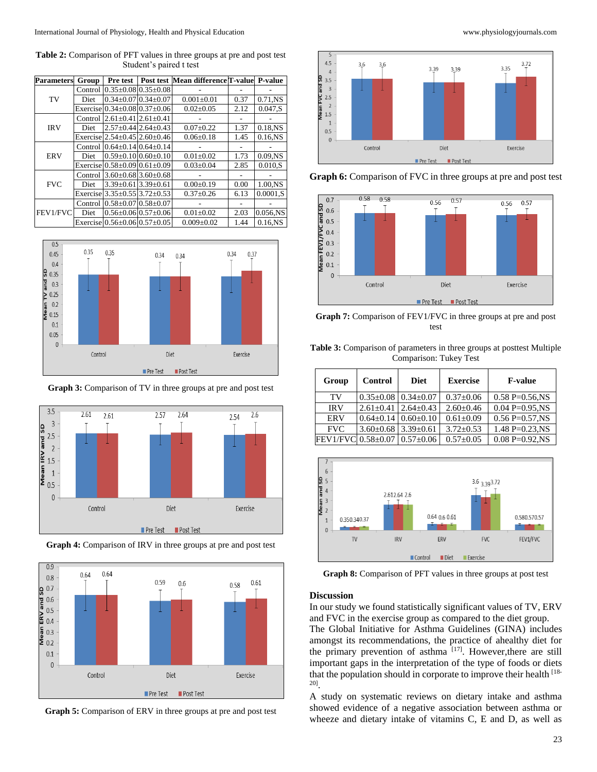**Table 2:** Comparison of PFT values in three groups at pre and post test Student's paired t test

| <b>Parameters</b> | Group       | Pre test                                 |                                 | Post test Mean difference T-value P-value |      |            |
|-------------------|-------------|------------------------------------------|---------------------------------|-------------------------------------------|------|------------|
| TV                | Control     |                                          | $0.35 \pm 0.08$ 0.35 $\pm 0.08$ |                                           |      |            |
|                   | Diet        |                                          | $0.34 \pm 0.07$ 0.34 $\pm 0.07$ | $0.001 \pm 0.01$                          | 0.37 | 0.71.NS    |
|                   |             | Exercise $0.34 \pm 0.08$ $0.37 \pm 0.06$ |                                 | $0.02 \pm 0.05$                           | 2.12 | 0.047.S    |
| <b>IRV</b>        | Control     |                                          | $2.61 \pm 0.41$ $2.61 \pm 0.41$ |                                           |      |            |
|                   | Diet        |                                          | $2.57 \pm 0.44$ 2.64 $\pm$ 0.43 | $0.07 \pm 0.22$                           | 1.37 | 0.18,NS    |
|                   |             | Exercise $2.54 \pm 0.45$ $2.60 \pm 0.46$ |                                 | $0.06 \pm 0.18$                           | 1.45 | $0.16$ .NS |
| <b>ERV</b>        | Control     |                                          | $0.64 \pm 0.14$ 0.64 $\pm$ 0.14 |                                           |      |            |
|                   | Diet        |                                          | $0.59 \pm 0.10$ $0.60 \pm 0.10$ | $0.01 \pm 0.02$                           | 1.73 | $0.09$ .NS |
|                   |             | Exercise $0.58 \pm 0.09$ $0.61 \pm 0.09$ |                                 | $0.03 \pm 0.04$                           | 2.85 | 0.010.S    |
| <b>FVC</b>        | Control     |                                          | $3.60\pm0.68$ 3.60 $\pm$ 0.68   |                                           |      |            |
|                   | <b>Diet</b> | $3.39 \pm 0.61$ 3.39 $\pm 0.61$          |                                 | $0.00 \pm 0.19$                           | 0.00 | 1.00.NS    |
|                   |             | Exercise 3.35±0.55 3.72±0.53             |                                 | $0.37 \pm 0.26$                           | 6.13 | 0.0001.S   |
| FEV1/FVC          | Control     |                                          | $0.58 \pm 0.07$ 0.58 $\pm 0.07$ |                                           |      |            |
|                   | Diet        |                                          | $0.56 \pm 0.06$ 0.57 $\pm 0.06$ | $0.01 \pm 0.02$                           | 2.03 | 0.056,NS   |
|                   |             | Exercise $0.56 \pm 0.06$ $0.57 \pm 0.05$ |                                 | $0.009 \pm 0.02$                          | 1.44 | $0.16$ .NS |



**Graph 3:** Comparison of TV in three groups at pre and post test





**Graph 4:** Comparison of IRV in three groups at pre and post test









**Graph 7:** Comparison of FEV1/FVC in three groups at pre and post test

**Table 3:** Comparison of parameters in three groups at posttest Multiple Comparison: Tukey Test

| Group              | <b>Control</b>                    | <b>Diet</b>     | <b>Exercise</b> | <b>F-value</b>        |
|--------------------|-----------------------------------|-----------------|-----------------|-----------------------|
| TV                 | $0.35 \pm 0.08$   $0.34 \pm 0.07$ |                 | $0.37 \pm 0.06$ | $0.58$ P= $0.56$ , NS |
| <b>IRV</b>         | $2.61+0.41$   $2.64+0.43$         |                 | $2.60 \pm 0.46$ | $0.04 P = 0.95$ .NS   |
| <b>ERV</b>         | $0.64 \pm 0.14$   $0.60 \pm 0.10$ |                 | $0.61 \pm 0.09$ | $0.56 P=0.57$ , NS    |
| <b>FVC</b>         | $3.60\pm0.68$ 3.39 $\pm0.61$      |                 | $3.72 + 0.53$   | $1.48 P = 0.23$ .NS   |
| FEV1/FVC 0.58±0.07 |                                   | $0.57 \pm 0.06$ | $0.57 \pm 0.05$ | $0.08 P = 0.92$ NS    |



**Graph 8:** Comparison of PFT values in three groups at post test

#### **Discussion**

In our study we found statistically significant values of TV, ERV and FVC in the exercise group as compared to the diet group.

The Global Initiative for Asthma Guidelines (GINA) includes amongst its recommendations, the practice of ahealthy diet for the primary prevention of asthma  $[17]$ . However, there are still important gaps in the interpretation of the type of foods or diets that the population should in corporate to improve their health [18- 20] .

A study on systematic reviews on dietary intake and asthma showed evidence of a negative association between asthma or wheeze and dietary intake of vitamins C, E and D, as well as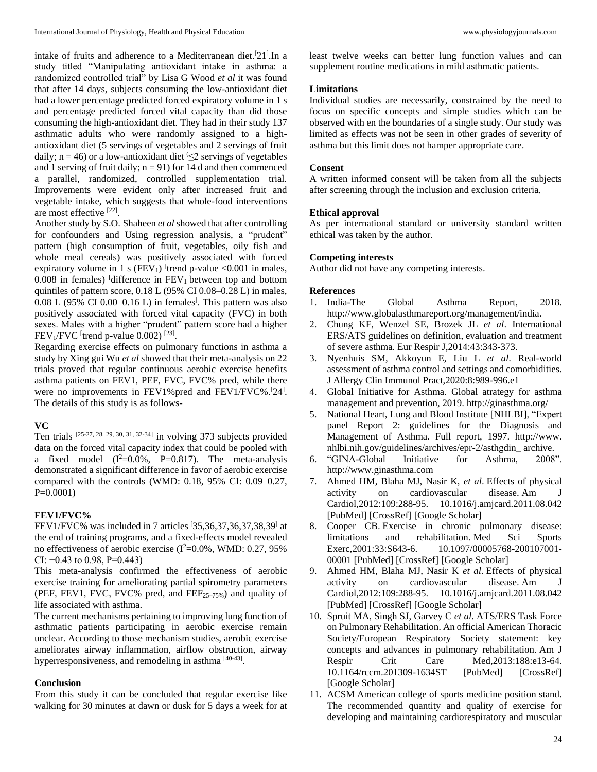intake of fruits and adherence to a Mediterranean diet.<sup>[21]</sup>. In a study titled "Manipulating antioxidant intake in asthma: a randomized controlled trial" by Lisa G Wood *et al* it was found that after 14 days, subjects consuming the low-antioxidant diet had a lower percentage predicted forced expiratory volume in 1 s and percentage predicted forced vital capacity than did those consuming the high-antioxidant diet. They had in their study 137 asthmatic adults who were randomly assigned to a highantioxidant diet (5 servings of vegetables and 2 servings of fruit daily; n = 46) or a low-antioxidant diet  $\leq$  servings of vegetables and 1 serving of fruit daily;  $n = 91$ ) for 14 d and then commenced a parallel, randomized, controlled supplementation trial. Improvements were evident only after increased fruit and vegetable intake, which suggests that whole-food interventions are most effective [22].

Another study by S.O. Shaheen *et al* showed that after controlling for confounders and Using regression analysis, a "prudent" pattern (high consumption of fruit, vegetables, oily fish and whole meal cereals) was positively associated with forced expiratory volume in 1 s ( $FEV<sub>1</sub>$ ) <sup>[</sup>trend p-value <0.001 in males,  $0.008$  in females) <sup>[</sup>difference in  $FEV<sub>1</sub>$  between top and bottom quintiles of pattern score, 0.18 L (95% CI 0.08–0.28 L) in males, 0.08 L (95% CI 0.00–0.16 L) in females] . This pattern was also positively associated with forced vital capacity (FVC) in both sexes. Males with a higher "prudent" pattern score had a higher  $FEV<sub>1</sub>/FVC$  <sup>[</sup>trend p-value 0.002)<sup>[23]</sup>.

Regarding exercise effects on pulmonary functions in asthma a study by Xing gui Wu *et al* showed that their meta-analysis on 22 trials proved that regular continuous aerobic exercise benefits asthma patients on FEV1, PEF, FVC, FVC% pred, while there were no improvements in FEV1% pred and FEV1/FVC%.<sup>[24]</sup>. The details of this study is as follows-

# **VC**

Ten trials  $[25-27, 28, 29, 30, 31, 32-34]$  in volving 373 subjects provided data on the forced vital capacity index that could be pooled with a fixed model  $(I^2=0.0\%, P=0.817)$ . The meta-analysis demonstrated a significant difference in favor of aerobic exercise compared with the controls (WMD: 0.18, 95% CI: 0.09–0.27, P=0.0001)

# **FEV1/FVC%**

FEV1/FVC% was included in 7 articles  $[35,36,37,36,37,38,39]$  at the end of training programs, and a fixed-effects model revealed no effectiveness of aerobic exercise (I <sup>2</sup>=0.0%, WMD: 0.27, 95% CI:  $-0.43$  to 0.98, P=0.443)

This meta-analysis confirmed the effectiveness of aerobic exercise training for ameliorating partial spirometry parameters (PEF, FEV1, FVC, FVC% pred, and FEF25–75%) and quality of life associated with asthma.

The current mechanisms pertaining to improving lung function of asthmatic patients participating in aerobic exercise remain unclear. According to those mechanism studies, aerobic exercise ameliorates airway inflammation, airflow obstruction, airway hyperresponsiveness, and remodeling in asthma [40-43].

# **Conclusion**

From this study it can be concluded that regular exercise like walking for 30 minutes at dawn or dusk for 5 days a week for at least twelve weeks can better lung function values and can supplement routine medications in mild asthmatic patients.

# **Limitations**

Individual studies are necessarily, constrained by the need to focus on specific concepts and simple studies which can be observed with en the boundaries of a single study. Our study was limited as effects was not be seen in other grades of severity of asthma but this limit does not hamper appropriate care.

# **Consent**

A written informed consent will be taken from all the subjects after screening through the inclusion and exclusion criteria.

# **Ethical approval**

As per international standard or university standard written ethical was taken by the author.

# **Competing interests**

Author did not have any competing interests.

# **References**

- 1. India-The Global Asthma Report, 2018. http://www.globalasthmareport.org/management/india.
- 2. Chung KF, Wenzel SE, Brozek JL *et al*. International ERS/ATS guidelines on definition, evaluation and treatment of severe asthma. Eur Respir J,2014:43:343-373.
- 3. Nyenhuis SM, Akkoyun E, Liu L *et al*. Real-world assessment of asthma control and settings and comorbidities. J Allergy Clin Immunol Pract,2020:8:989-996.e1
- 4. Global Initiative for Asthma. Global atrategy for asthma management and prevention, 2019. http://ginasthma.org/
- 5. National Heart, Lung and Blood Institute [NHLBI], "Expert panel Report 2: guidelines for the Diagnosis and Management of Asthma. Full report, 1997. http://www. nhlbi.nih.gov/guidelines/archives/epr-2/asthgdin\_ archive.
- 6. "GINA-Global Initiative for Asthma, 2008". http://www.ginasthma.com
- 7. Ahmed HM, Blaha MJ, Nasir K, *et al*. Effects of physical activity on cardiovascular disease. Am J Cardiol,2012:109:288-95. 10.1016/j.amjcard.2011.08.042 [PubMed] [CrossRef] [Google Scholar]
- 8. Cooper CB. Exercise in chronic pulmonary disease: limitations and rehabilitation. Med Sci Sports Exerc,2001:33:S643-6. 10.1097/00005768-200107001- 00001 [PubMed] [CrossRef] [Google Scholar]
- 9. Ahmed HM, Blaha MJ, Nasir K *et al*. Effects of physical activity on cardiovascular disease. Am J Cardiol,2012:109:288-95. 10.1016/j.amjcard.2011.08.042 [PubMed] [CrossRef] [Google Scholar]
- 10. Spruit MA, Singh SJ, Garvey C *et al*. ATS/ERS Task Force on Pulmonary Rehabilitation. An official American Thoracic Society/European Respiratory Society statement: key concepts and advances in pulmonary rehabilitation. Am J Respir Crit Care Med, 2013:188: e13-64. 10.1164/rccm.201309-1634ST [PubMed] [CrossRef] [Google Scholar]
- 11. ACSM American college of sports medicine position stand. The recommended quantity and quality of exercise for developing and maintaining cardiorespiratory and muscular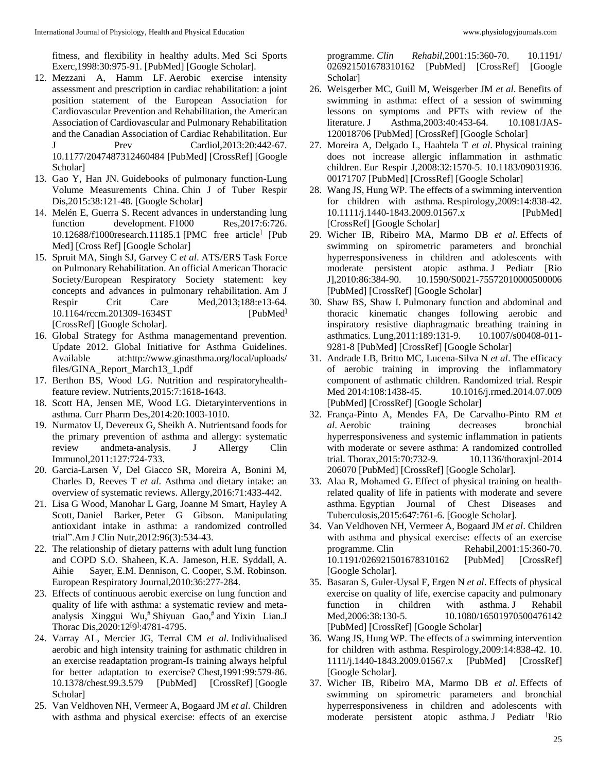fitness, and flexibility in healthy adults. Med Sci Sports Exerc,1998:30:975-91. [PubMed] [Google Scholar].

- 12. Mezzani A, Hamm LF. Aerobic exercise intensity assessment and prescription in cardiac rehabilitation: a joint position statement of the European Association for Cardiovascular Prevention and Rehabilitation, the American Association of Cardiovascular and Pulmonary Rehabilitation and the Canadian Association of Cardiac Rehabilitation. Eur J Prev Cardiol, 2013: 20:442-67. 10.1177/2047487312460484 [PubMed] [CrossRef] [Google Scholar]
- 13. Gao Y, Han JN. Guidebooks of pulmonary function-Lung Volume Measurements China. Chin J of Tuber Respir Dis,2015:38:121-48. [Google Scholar]
- 14. Melén E, Guerra S. Recent advances in understanding lung function development. F1000 Res, 2017:6:726. 10.12688/f1000research.11185.1 [PMC free article] [Pub Med] [Cross Ref] [Google Scholar]
- 15. Spruit MA, Singh SJ, Garvey C *et al*. ATS/ERS Task Force on Pulmonary Rehabilitation. An official American Thoracic Society/European Respiratory Society statement: key concepts and advances in pulmonary rehabilitation. Am J Respir Crit Care Med, 2013;188: e13-64. 10.1164/rccm.201309-1634ST [PubMed] [CrossRef] [Google Scholar].
- 16. Global Strategy for Asthma managementand prevention. Update 2012. Global Initiative for Asthma Guidelines. Available at:http://www.ginasthma.org/local/uploads/ files/GINA\_Report\_March13\_1.pdf
- 17. Berthon BS, Wood LG. Nutrition and respiratoryhealthfeature review. Nutrients,2015:7:1618-1643.
- 18. Scott HA, Jensen ME, Wood LG. Dietaryinterventions in asthma. Curr Pharm Des,2014:20:1003-1010.
- 19. Nurmatov U, Devereux G, Sheikh A. Nutrientsand foods for the primary prevention of asthma and allergy: systematic review andmeta-analysis. J Allergy Clin Immunol,2011:127:724-733.
- 20. Garcia-Larsen V, Del Giacco SR, Moreira A, Bonini M, Charles D, Reeves T *et al*. Asthma and dietary intake: an overview of systematic reviews. Allergy,2016:71:433-442.
- 21. Lisa G Wood, Manohar L Garg, Joanne M Smart, Hayley A Scott, Daniel Barker, Peter G Gibson. Manipulating antioxidant intake in asthma: a randomized controlled trial".Am J Clin Nutr,2012:96(3):534-43.
- 22. The relationship of dietary patterns with adult lung function and COPD S.O. Shaheen, K.A. Jameson, H.E. Syddall, A. Aihie Sayer, E.M. Dennison, C. Cooper, S.M. Robinson. European Respiratory Journal,2010:36:277-284.
- 23. Effects of continuous aerobic exercise on lung function and quality of life with asthma: a systematic review and metaanalysis Xinggui Wu, # Shiyuan Gao, # and Yixin Lian.J Thorac Dis, 2020: 12<sup>[9]</sup>: 4781-4795.
- 24. Varray AL, Mercier JG, Terral CM *et al*. Individualised aerobic and high intensity training for asthmatic children in an exercise readaptation program-Is training always helpful for better adaptation to exercise? Chest,1991:99:579-86. 10.1378/chest.99.3.579 [PubMed] [CrossRef] [Google Scholar]
- 25. Van Veldhoven NH, Vermeer A, Bogaard JM *et al*. Children with asthma and physical exercise: effects of an exercise

programme. *Clin Rehabil*,2001:15:360-70. 10.1191/ 026921501678310162 [PubMed] [CrossRef] [Google Scholar]

- 26. Weisgerber MC, Guill M, Weisgerber JM *et al*. Benefits of swimming in asthma: effect of a session of swimming lessons on symptoms and PFTs with review of the literature. J Asthma, 2003: 40: 453-64. 10.1081/JAS-120018706 [PubMed] [CrossRef] [Google Scholar]
- 27. Moreira A, Delgado L, Haahtela T *et al*. Physical training does not increase allergic inflammation in asthmatic children. Eur Respir J,2008:32:1570-5. 10.1183/09031936. 00171707 [PubMed] [CrossRef] [Google Scholar]
- 28. Wang JS, Hung WP. The effects of a swimming intervention for children with asthma. Respirology,2009:14:838-42. 10.1111/j.1440-1843.2009.01567.x [PubMed] [CrossRef] [Google Scholar]
- 29. Wicher IB, Ribeiro MA, Marmo DB *et al*. Effects of swimming on spirometric parameters and bronchial hyperresponsiveness in children and adolescents with moderate persistent atopic asthma. J Pediatr [Rio J],2010:86:384-90. 10.1590/S0021-75572010000500006 [PubMed] [CrossRef] [Google Scholar]
- 30. Shaw BS, Shaw I. Pulmonary function and abdominal and thoracic kinematic changes following aerobic and inspiratory resistive diaphragmatic breathing training in asthmatics. Lung,2011:189:131-9. 10.1007/s00408-011- 9281-8 [PubMed] [CrossRef] [Google Scholar]
- 31. Andrade LB, Britto MC, Lucena-Silva N *et al*. The efficacy of aerobic training in improving the inflammatory component of asthmatic children. Randomized trial. Respir Med 2014:108:1438-45. 10.1016/j.rmed.2014.07.009 [PubMed] [CrossRef] [Google Scholar]
- 32. França-Pinto A, Mendes FA, De Carvalho-Pinto RM *et al*. Aerobic training decreases bronchial hyperresponsiveness and systemic inflammation in patients with moderate or severe asthma: A randomized controlled trial. Thorax,2015:70:732-9. 10.1136/thoraxjnl-2014 206070 [PubMed] [CrossRef] [Google Scholar].
- 33. Alaa R, Mohamed G. Effect of physical training on healthrelated quality of life in patients with moderate and severe asthma. Egyptian Journal of Chest Diseases and Tuberculosis,2015:647:761-6. [Google Scholar].
- 34. Van Veldhoven NH, Vermeer A, Bogaard JM *et al*. Children with asthma and physical exercise: effects of an exercise programme. Clin Rehabil,2001:15:360-70. 10.1191/026921501678310162 [PubMed] [CrossRef] [Google Scholar].
- 35. Basaran S, Guler-Uysal F, Ergen N *et al*. Effects of physical exercise on quality of life, exercise capacity and pulmonary function in children with asthma. J Rehabil Med, 2006:38:130-5. 10.1080/16501970500476142 [PubMed] [CrossRef] [Google Scholar]
- 36. Wang JS, Hung WP. The effects of a swimming intervention for children with asthma. Respirology,2009:14:838-42. 10. 1111/j.1440-1843.2009.01567.x [PubMed] [CrossRef] [Google Scholar].
- 37. Wicher IB, Ribeiro MA, Marmo DB *et al*. Effects of swimming on spirometric parameters and bronchial hyperresponsiveness in children and adolescents with moderate persistent atopic asthma. J Pediatr <sup>[Rio</sup>